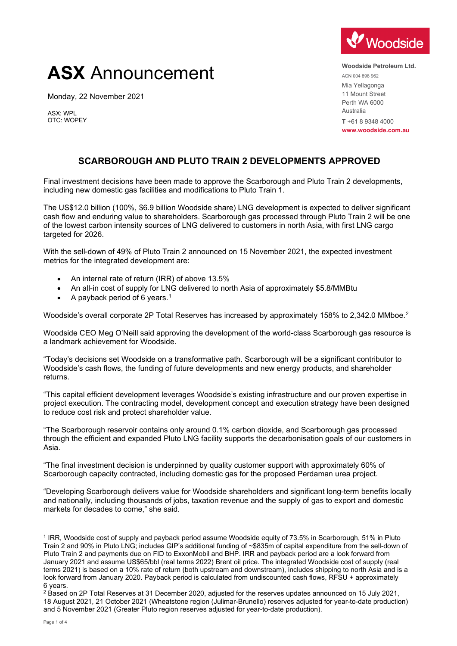# **ASX** Announcement

Monday, 22 November 2021

ASX: WPL OTC: WOPEY



**Woodside Petroleum Ltd.** ACN 004 898 962 Mia Yellagonga 11 Mount Street Perth WA 6000 Australia **T** +61 8 9348 4000 **www.woodside.com.au**

# **SCARBOROUGH AND PLUTO TRAIN 2 DEVELOPMENTS APPROVED**

Final investment decisions have been made to approve the Scarborough and Pluto Train 2 developments, including new domestic gas facilities and modifications to Pluto Train 1.

The US\$12.0 billion (100%, \$6.9 billion Woodside share) LNG development is expected to deliver significant cash flow and enduring value to shareholders. Scarborough gas processed through Pluto Train 2 will be one of the lowest carbon intensity sources of LNG delivered to customers in north Asia, with first LNG cargo targeted for 2026.

With the sell-down of 49% of Pluto Train 2 announced on 15 November 2021, the expected investment metrics for the integrated development are:

- An internal rate of return (IRR) of above 13.5%
- An all-in cost of supply for LNG delivered to north Asia of approximately \$5.8/MMBtu
- A payback period of 6 years.<sup>[1](#page-0-0)</sup>

Woodside's overall corporate 2P Total Reserves has increased by approximately 158% to 2,342.0 MMboe.[2](#page-0-1)

Woodside CEO Meg O'Neill said approving the development of the world-class Scarborough gas resource is a landmark achievement for Woodside.

"Today's decisions set Woodside on a transformative path. Scarborough will be a significant contributor to Woodside's cash flows, the funding of future developments and new energy products, and shareholder returns.

"This capital efficient development leverages Woodside's existing infrastructure and our proven expertise in project execution. The contracting model, development concept and execution strategy have been designed to reduce cost risk and protect shareholder value.

"The Scarborough reservoir contains only around 0.1% carbon dioxide, and Scarborough gas processed through the efficient and expanded Pluto LNG facility supports the decarbonisation goals of our customers in Asia.

"The final investment decision is underpinned by quality customer support with approximately 60% of Scarborough capacity contracted, including domestic gas for the proposed Perdaman urea project.

"Developing Scarborough delivers value for Woodside shareholders and significant long-term benefits locally and nationally, including thousands of jobs, taxation revenue and the supply of gas to export and domestic markets for decades to come," she said.

<span id="page-0-0"></span><sup>1</sup> IRR, Woodside cost of supply and payback period assume Woodside equity of 73.5% in Scarborough, 51% in Pluto Train 2 and 90% in Pluto LNG; includes GIP's additional funding of ~\$835m of capital expenditure from the sell-down of Pluto Train 2 and payments due on FID to ExxonMobil and BHP. IRR and payback period are a look forward from January 2021 and assume US\$65/bbl (real terms 2022) Brent oil price. The integrated Woodside cost of supply (real terms 2021) is based on a 10% rate of return (both upstream and downstream), includes shipping to north Asia and is a look forward from January 2020. Payback period is calculated from undiscounted cash flows, RFSU + approximately 6 years.

<span id="page-0-1"></span><sup>&</sup>lt;sup>2</sup> Based on 2P Total Reserves at 31 December 2020, adjusted for the reserves updates announced on 15 July 2021, 18 August 2021, 21 October 2021 (Wheatstone region (Julimar-Brunello) reserves adjusted for year-to-date production) and 5 November 2021 (Greater Pluto region reserves adjusted for year-to-date production).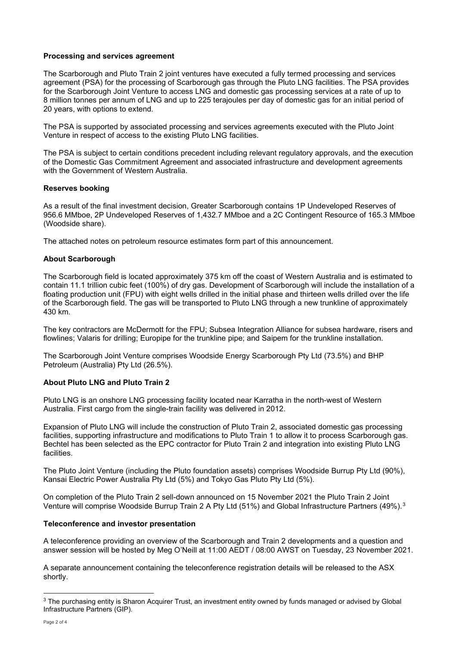#### **Processing and services agreement**

The Scarborough and Pluto Train 2 joint ventures have executed a fully termed processing and services agreement (PSA) for the processing of Scarborough gas through the Pluto LNG facilities. The PSA provides for the Scarborough Joint Venture to access LNG and domestic gas processing services at a rate of up to 8 million tonnes per annum of LNG and up to 225 terajoules per day of domestic gas for an initial period of 20 years, with options to extend.

The PSA is supported by associated processing and services agreements executed with the Pluto Joint Venture in respect of access to the existing Pluto LNG facilities.

The PSA is subject to certain conditions precedent including relevant regulatory approvals, and the execution of the Domestic Gas Commitment Agreement and associated infrastructure and development agreements with the Government of Western Australia.

# **Reserves booking**

As a result of the final investment decision, Greater Scarborough contains 1P Undeveloped Reserves of 956.6 MMboe, 2P Undeveloped Reserves of 1,432.7 MMboe and a 2C Contingent Resource of 165.3 MMboe (Woodside share).

The attached notes on petroleum resource estimates form part of this announcement.

# **About Scarborough**

The Scarborough field is located approximately 375 km off the coast of Western Australia and is estimated to contain 11.1 trillion cubic feet (100%) of dry gas. Development of Scarborough will include the installation of a floating production unit (FPU) with eight wells drilled in the initial phase and thirteen wells drilled over the life of the Scarborough field. The gas will be transported to Pluto LNG through a new trunkline of approximately 430 km.

The key contractors are McDermott for the FPU; Subsea Integration Alliance for subsea hardware, risers and flowlines; Valaris for drilling; Europipe for the trunkline pipe; and Saipem for the trunkline installation.

The Scarborough Joint Venture comprises Woodside Energy Scarborough Pty Ltd (73.5%) and BHP Petroleum (Australia) Pty Ltd (26.5%).

# **About Pluto LNG and Pluto Train 2**

Pluto LNG is an onshore LNG processing facility located near Karratha in the north-west of Western Australia. First cargo from the single-train facility was delivered in 2012.

Expansion of Pluto LNG will include the construction of Pluto Train 2, associated domestic gas processing facilities, supporting infrastructure and modifications to Pluto Train 1 to allow it to process Scarborough gas. Bechtel has been selected as the EPC contractor for Pluto Train 2 and integration into existing Pluto LNG facilities.

The Pluto Joint Venture (including the Pluto foundation assets) comprises Woodside Burrup Pty Ltd (90%), Kansai Electric Power Australia Pty Ltd (5%) and Tokyo Gas Pluto Pty Ltd (5%).

On completion of the Pluto Train 2 sell-down announced on 15 November 2021 the Pluto Train 2 Joint Venture will comprise Woodside Burrup Train 2 A Pty Ltd (51%) and Global Infrastructure Partners (49%).<sup>[3](#page-1-0)</sup>

# **Teleconference and investor presentation**

A teleconference providing an overview of the Scarborough and Train 2 developments and a question and answer session will be hosted by Meg O'Neill at 11:00 AEDT / 08:00 AWST on Tuesday, 23 November 2021.

A separate announcement containing the teleconference registration details will be released to the ASX shortly.

<span id="page-1-0"></span><sup>&</sup>lt;sup>3</sup> The purchasing entity is Sharon Acquirer Trust, an investment entity owned by funds managed or advised by Global Infrastructure Partners (GIP).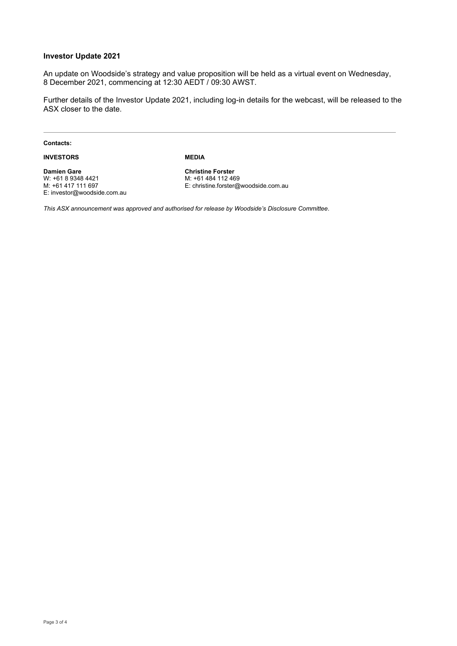#### **Investor Update 2021**

An update on Woodside's strategy and value proposition will be held as a virtual event on Wednesday, 8 December 2021, commencing at 12:30 AEDT / 09:30 AWST.

Further details of the Investor Update 2021, including log-in details for the webcast, will be released to the ASX closer to the date.

**Contacts:**

**INVESTORS**

**MEDIA**

**Damien Gare** W: +61 8 9348 4421 M: +61 417 111 697 E: investor@woodside.com.au **Christine Forster** M: +61 484 112 469 E: christine.forster@woodside.com.au

*This ASX announcement was approved and authorised for release by Woodside's Disclosure Committee*.